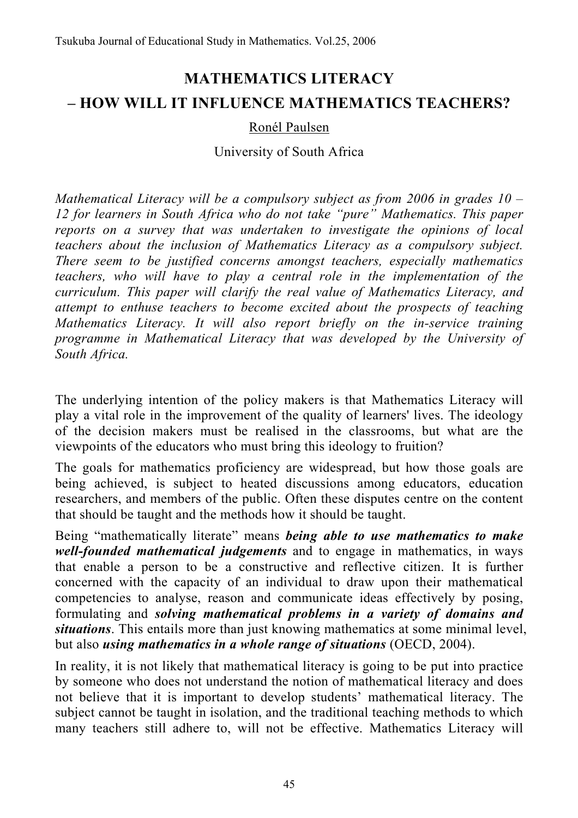## **MATHEMATICS LITERACY – HOW WILL IT INFLUENCE MATHEMATICS TEACHERS?**

## Ronél Paulsen

University of South Africa

*Mathematical Literacy will be a compulsory subject as from 2006 in grades 10 – 12 for learners in South Africa who do not take "pure" Mathematics. This paper reports on a survey that was undertaken to investigate the opinions of local teachers about the inclusion of Mathematics Literacy as a compulsory subject. There seem to be justified concerns amongst teachers, especially mathematics teachers, who will have to play a central role in the implementation of the curriculum. This paper will clarify the real value of Mathematics Literacy, and attempt to enthuse teachers to become excited about the prospects of teaching Mathematics Literacy. It will also report briefly on the in-service training programme in Mathematical Literacy that was developed by the University of South Africa.* 

The underlying intention of the policy makers is that Mathematics Literacy will play a vital role in the improvement of the quality of learners' lives. The ideology of the decision makers must be realised in the classrooms, but what are the viewpoints of the educators who must bring this ideology to fruition?

The goals for mathematics proficiency are widespread, but how those goals are being achieved, is subject to heated discussions among educators, education researchers, and members of the public. Often these disputes centre on the content that should be taught and the methods how it should be taught.

Being "mathematically literate" means *being able to use mathematics to make well-founded mathematical judgements* and to engage in mathematics, in ways that enable a person to be a constructive and reflective citizen. It is further concerned with the capacity of an individual to draw upon their mathematical competencies to analyse, reason and communicate ideas effectively by posing, formulating and *solving mathematical problems in a variety of domains and situations*. This entails more than just knowing mathematics at some minimal level, but also *using mathematics in a whole range of situations* (OECD, 2004).

In reality, it is not likely that mathematical literacy is going to be put into practice by someone who does not understand the notion of mathematical literacy and does not believe that it is important to develop students' mathematical literacy. The subject cannot be taught in isolation, and the traditional teaching methods to which many teachers still adhere to, will not be effective. Mathematics Literacy will